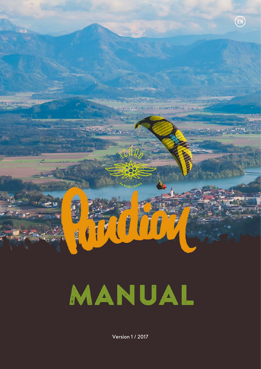

# MANUAL

Version 1 / 2017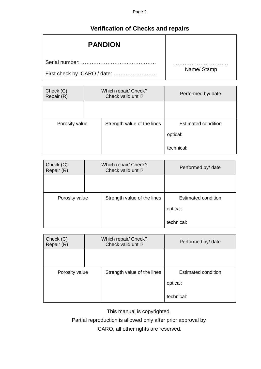## **Verification of Checks and repairs**

<span id="page-1-0"></span>

| <b>PANDION</b>               |            |
|------------------------------|------------|
| Serial number:               |            |
| First check by ICARO / date: | Name/Stamp |

| Check (C)<br>Repair (R) | Which repair/ Check?<br>Check valid until? |                             | Performed by/ date         |  |
|-------------------------|--------------------------------------------|-----------------------------|----------------------------|--|
|                         |                                            |                             |                            |  |
| Porosity value          |                                            | Strength value of the lines | <b>Estimated condition</b> |  |
|                         |                                            |                             | optical:                   |  |
|                         |                                            |                             | technical:                 |  |

| Check (C)<br>Repair (R) | Which repair/ Check?<br>Check valid until? |                             | Performed by/ date  |
|-------------------------|--------------------------------------------|-----------------------------|---------------------|
|                         |                                            |                             |                     |
| Porosity value          |                                            | Strength value of the lines | Estimated condition |
|                         |                                            |                             | optical:            |
|                         |                                            |                             | technical:          |

| Check (C)<br>Repair (R) | Which repair/ Check?<br>Check valid until? |                             | Performed by/ date         |  |
|-------------------------|--------------------------------------------|-----------------------------|----------------------------|--|
|                         |                                            |                             |                            |  |
| Porosity value          |                                            | Strength value of the lines | <b>Estimated condition</b> |  |
|                         |                                            |                             | optical:                   |  |
|                         |                                            |                             | technical:                 |  |

This manual is copyrighted.

Partial reproduction is allowed only after prior approval by

ICARO, all other rights are reserved.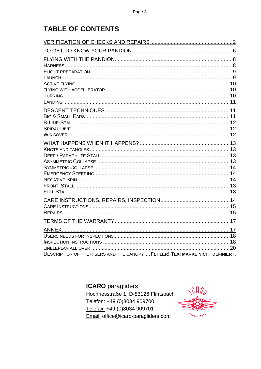## **TABLE OF CONTENTS**

| DESCRIPTION OF THE RISERS AND THE CANOPY FEHLER! TEXTMARKE NICHT DEFINIERT. |  |
|-----------------------------------------------------------------------------|--|

**ICARO** paragliders

Hochriesstraße 1, D-83126 Flintsbach Telefon: +49 (0)8034 909700 Telefax: +49 (0)8034 909701 Email: office@icaro-paragliders.com

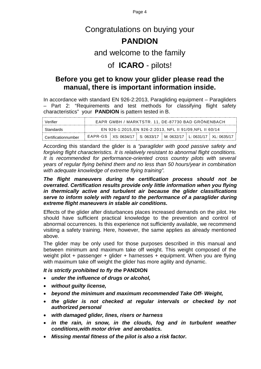Page 4

## Congratulations on buying your

## **PANDION**

## and welcome to the family

## of **ICARO** - pilots!

## **Before you get to know your glider please read the manual, there is important information inside.**

In accordance with standard EN 926-2:2013, Paragliding equipment – Paragliders – Part 2: "Requirements and test methods for classifying flight safety characteristics" your **PANDION** is pattern tested in B.

| Verifier            | EAPR GMBH / MARKTSTR. 11, DE-87730 BAD GRÖNENBACH                |  |  |
|---------------------|------------------------------------------------------------------|--|--|
| Standards           | EN 926-1:2015.EN 926-2:2013, NFL II 91/09.NFL II 60/14           |  |  |
| Certificationnumber | EAPR-GS XS: 0634/17 S: 0633/17 M: 0632/17 L: 0631/17 XL: 0635/17 |  |  |

According this standard the glider is a *"paraglider with good passive safety and forgiving flight characteristics. It is relatively resistant to abnormal flight conditions. It is recommended for performance-oriented cross country pilots with several years of regular flying behind them and no less than 50 hours/year in combination with adequate knowledge of extreme flying training".*

#### *The flight maneuvers during the certification process should not be overrated. Certification results provide only little information when you flying in thermically active and turbulent air because the glider classifications serve to inform solely with regard to the performance of a paraglider during extreme flight maneuvers in stable air conditions.*

Effects of the glider after disturbances places increased demands on the pilot. He should have sufficient practical knowledge to the prevention and control of abnormal occurrences. Is this experience not sufficiently available, we recommend visiting a safety training. Here, however, the same applies as already mentioned above.

The glider may be only used for those purposes described in this manual and between minimum and maximum take off weight. This weight composed of the weight pilot + passenger + glider + harnesses + equipment. When you are flying with maximum take off weight the glider has more agility and dynamic.

#### *It is strictly prohibited to fly the* **PANDION**

- *under the influence of drugs or alcohol,*
- *without guilty license,*
- *beyond the minimum and maximum recommended Take Off- Weight,*
- *the glider is not checked at regular intervals or checked by not authorized personal*
- *with damaged glider, lines, risers or harness*
- *in the rain, in snow, in the clouds, fog and in turbulent weather conditions,with motor drive and aerobatics.*
- *Missing mental fitness of the pilot is also a risk factor.*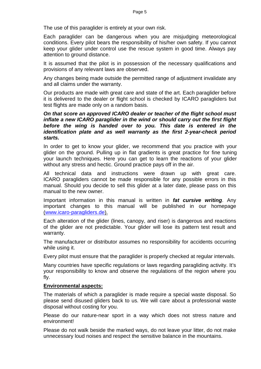The use of this paraglider is entirely at your own risk.

Each paraglider can be dangerous when you are misjudging meteorological conditions. Every pilot bears the responsibility of his/her own safety. If you cannot keep your glider under control use the rescue system in good time. Always pay attention to ground distance.

It is assumed that the pilot is in possession of the necessary qualifications and provisions of any relevant laws are observed.

Any changes being made outside the permitted range of adjustment invalidate any and all claims under the warranty.

Our products are made with great care and state of the art. Each paraglider before it is delivered to the dealer or flight school is checked by ICARO paragliders but test flights are made only on a random basis.

#### *On that score an approved ICARO dealer or teacher of the flight school must inflate a new ICARO paraglider in the wind or should carry out the first flight before the wing is handed over to you. This date is entered in the identification plate and as well warranty as the first 2-year-check period starts.*

In order to get to know your glider, we recommend that you practice with your glider on the ground. Pulling up in flat gradients is great practice for fine tuning your launch techniques. Here you can get to learn the reactions of your glider without any stress and hectic. Ground practice pays off in the air.

All technical data and instructions were drawn up with great care. ICARO paragliders cannot be made responsible for any possible errors in this manual. Should you decide to sell this glider at a later date, please pass on this manual to the new owner.

Important information in this manual is written in *fat cursive writing*. Any important changes to this manual will be published in our homepage [\(www.icaro-paragliders.de\)](http://www.icaro-paragliders.de/).

Each alteration of the glider (lines, canopy, and riser) is dangerous and reactions of the glider are not predictable. Your glider will lose its pattern test result and warranty.

The manufacturer or distributor assumes no responsibility for accidents occurring while using it.

Every pilot must ensure that the paraglider is properly checked at regular intervals.

Many countries have specific regulations or laws regarding paragliding activity. It's your responsibility to know and observe the regulations of the region where you fly.

#### **Environmental aspects:**

The materials of which a paraglider is made require a special waste disposal. So please send disused gliders back to us. We will care about a professional waste disposal without costing for you.

Please do our nature-near sport in a way which does not stress nature and environment!

Please do not walk beside the marked ways, do not leave your litter, do not make unnecessary loud noises and respect the sensitive balance in the mountains.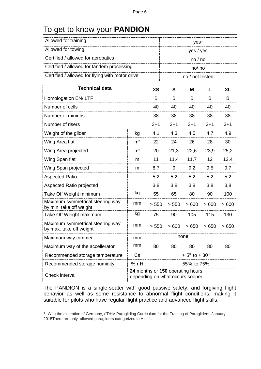## <span id="page-5-0"></span>To get to know your **PANDION**

| Allowed for training                                                                    |                         |         | yes <sup>1</sup> |                 |         |           |
|-----------------------------------------------------------------------------------------|-------------------------|---------|------------------|-----------------|---------|-----------|
| Allowed for towing                                                                      |                         |         | yes / yes        |                 |         |           |
| Certified / allowed for aerobatics                                                      |                         |         | no/no            |                 |         |           |
| Certified / allowed for tandem processing                                               |                         |         |                  | no/ no          |         |           |
| Certified / allowed for flying with motor drive                                         |                         |         |                  | no / not tested |         |           |
| <b>Technical data</b><br><b>XS</b>                                                      |                         |         | S                | M               | L       | <b>XL</b> |
| Homologation EN/LTF                                                                     |                         | B       | B                | B               | B       | B         |
| Number of cells                                                                         |                         | 40      | 40               | 40              | 40      | 40        |
| Number of miniribs                                                                      |                         | 38      | 38               | 38              | 38      | 38        |
| Number of risers                                                                        |                         | $3 + 1$ | $3 + 1$          | $3 + 1$         | $3 + 1$ | $3 + 1$   |
| Weight of the glider                                                                    | kg                      | 4,1     | 4,3              | 4.5             | 4,7     | 4,9       |
| Wing Area flat                                                                          | m <sup>2</sup>          | 22      | 24               | 26              | 28      | 30        |
| Wing Area projected                                                                     | m <sup>2</sup>          | 20      | 21,3             | 22,6            | 23,9    | 25,2      |
| Wing Span flat                                                                          | m                       | 11      | 11,4             | 11,7            | 12      | 12,4      |
| Wing Span projected                                                                     | m                       | 8,7     | 9                | 9,2             | 9,5     | 9,7       |
| <b>Aspected Ratio</b>                                                                   |                         | 5,2     | 5,2              | 5,2             | 5,2     | 5,2       |
| Aspected Ratio projected                                                                |                         | 3,8     | 3,8              | 3,8             | 3,8     | 3,8       |
| Take Off Weight minimum                                                                 | kg                      | 55      | 65               | 80              | 90      | 100       |
| Maximum symmetrical steering way<br>by min. take off weight                             | mm                      | > 550   | > 550            | >600            | >600    | >600      |
| Take Off Weight maximum                                                                 | kg                      | 75      | 90               | 105             | 115     | 130       |
| Maximum symmetrical steering way<br>by max. take off weight                             | mm                      | > 550   | >600             | >650            | >650    | >650      |
| Maximum way trimmer                                                                     | mm                      |         | none             |                 |         |           |
| mm<br>Maximum way of the accellerator                                                   |                         | 80      | 80               | 80              | 80      | 80        |
| Recommended storage temperature                                                         | $+5^0$ to $+30^0$<br>Cs |         |                  |                 |         |           |
| Recommended storage humidity                                                            | %rH<br>55% to 75%       |         |                  |                 |         |           |
| 24 months or 150 operating hours,<br>Check interval<br>depending on what occurs sooner. |                         |         |                  |                 |         |           |

The PANDION is a single-seater with good passive safety, and forgiving flight behavior as well as some resistance to abnormal flight conditions, making it suitable for pilots who have regular flight practice and advanced flight skills.

<span id="page-5-1"></span> $\overline{a}$ <sup>1</sup> With the exception of Germany, ("DHV Paragliding Curriculum for the Training of Paragliders, January 2015There are only allowed paragliders categorized in A or 1.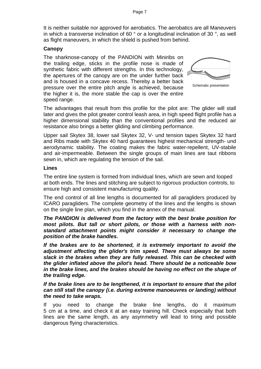It is neither suitable nor approved for aerobatics. The aerobatics are all Maneuvers in which a transverse inclination of 60 ° or a longitudinal inclination of 30 °, as well as flight maneuvers, in which the shield is pushed from behind.

#### **Canopy**

The sharknose-canopy of the PANDION with Miniribs on the trailing edge, sticks in the profile nose is made of synthetic fabric with different strengths. In this technology, the apertures of the canopy are on the under further back and is housed in a concave recess. Thereby a better back pressure over the entire pitch angle is achieved, because the higher it is, the more stable the cap is over the entire speed range.



Schematic presentation

The advantages that result from this profile for the pilot are: The glider will stall later and gives the pilot greater control leash area, in high speed flight profile has a higher dimensional stability than the conventional profiles and the reduced air resistance also brings a better gliding and climbing performance.

Upper sail Skytex 38, lower sail Skytex 32, V- und tension tapes Skytex 32 hard and Ribs made with Skytex 40 hard guarantees highest mechanical strength- und aerodynamic stability. The coating makes the fabric water-repellent, UV-stabile and air-impermeable. Between the single groups of main lines are taut ribbons sewn in, which are regulating the tension of the sail.

#### **Lines**

The entire line system is formed from individual lines, which are sewn and looped at both ends. The lines and stitching are subject to rigorous production controls, to ensure high and consistent manufacturing quality.

The end control of all line lengths is documented for all paragliders produced by ICARO paragliders. The complete geometry of the lines and the lengths is shown on the single line plan, which you find in the annex of the manual.

*The PANDION is delivered from the factory with the best brake position for most pilots. But tall or short pilots, or those with a harness with nonstandard attachment points might consider it necessary to change the position of the brake handles.* 

*If the brakes are to be shortened, it is extremely important to avoid the adjustment affecting the glider's trim speed. There must always be some slack in the brakes when they are fully released. This can be checked with the glider inflated above the pilot's head. There should be a noticeable bow in the brake lines, and the brakes should be having no effect on the shape of the trailing edge.* 

#### *If the brake lines are to be lengthened, it is important to ensure that the pilot can still stall the canopy (i.e. during extreme manoeuvres or landing) without the need to take wraps.*

If you need to change the brake line lengths, do it maximum 5 cm at a time, and check it at an easy training hill. Check especially that both lines are the same length, as any asymmetry will lead to tiring and possible dangerous flying characteristics.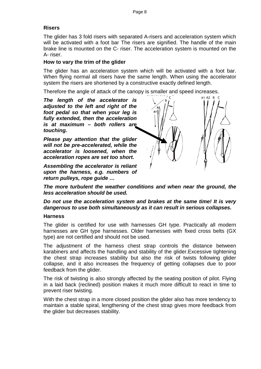#### **Risers**

The glider has 3 fold risers with separated A-risers and acceleration system which will be activated with a foot bar The risers are signified. The handle of the main brake line is mounted on the C- riser. The acceleration system is mounted on the A- riser.

#### **How to vary the trim of the glider**

The glider has an acceleration system which will be activated with a foot bar. When flying normal all risers have the same length. When using the accelerator system the risers are shortened by a constructive exactly defined length.

Therefore the angle of attack of the canopy is smaller and speed increases.

*The length of the accelerator is adjusted to the left and right of the foot pedal so that when your leg is fully extended, then the acceleration is at maximum – both rollers are touching.*

*Please pay attention that the glider will not be pre-accelerated, while the accelerator is loosened, when the acceleration ropes are set too short.*

*Assembling the accelerator is reliant upon the harness, e.g. numbers of return pulleys, rope guide …*



*The more turbulent the weather conditions and when near the ground, the less acceleration should be used.* 

*Do not use the acceleration system and brakes at the same time! It is very dangerous to use both simultaneously as it can result in serious collapses.*

#### <span id="page-7-0"></span>**Harness**

The glider is certified for use with harnesses GH type. Practically all modern harnesses are GH type harnesses. Older harnesses with fixed cross belts (GX type) are not certified and should not be used.

The adjustment of the harness chest strap controls the distance between karabiners and affects the handling and stability of the glider.Excessive tightening the chest strap increases stability but also the risk of twists following glider collapse, and it also increases the frequency of getting collapses due to poor feedback from the glider.

The risk of twisting is also strongly affected by the seating position of pilot. Flying in a laid back (reclined) position makes it much more difficult to react in time to prevent riser twisting.

With the chest strap in a more closed position the glider also has more tendency to maintain a stable spiral, lengthening of the chest strap gives more feedback from the glider but decreases stability.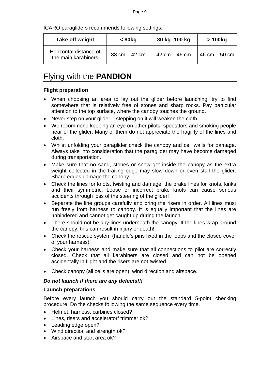ICARO paragliders recommends following settings:

| Take off weight                               | $< 80$ kg                       | 80 kg -100 kg   | > 100kg                         |
|-----------------------------------------------|---------------------------------|-----------------|---------------------------------|
| Horizontal distance of<br>the main karabiners | $38 \text{ cm} - 42 \text{ cm}$ | 42 cm $-$ 46 cm | $46 \text{ cm} - 50 \text{ cm}$ |

## Flying with the **PANDION**

#### <span id="page-8-0"></span>**Flight preparation**

- <span id="page-8-1"></span>• When choosing an area to lay out the glider before launching, try to find somewhere that is relatively free of stones and sharp rocks. Pay particular attention to the top surface, where the canopy touches the ground.
- Never step on your glider stepping on it will weaken the cloth.
- We recommend keeping an eye on other pilots, spectators and smoking people near of the glider. Many of them do not appreciate the fragility of the lines and cloth.
- Whilst unfolding your paraglider check the canopy and cell walls for damage. Always take into consideration that the paraglider may have become damaged during transportation.
- Make sure that no sand, stones or snow get inside the canopy as the extra weight collected in the trailing edge may slow down or even stall the glider. Sharp edges damage the canopy.
- Check the lines for knots, twisting and damage, the brake lines for knots, kinks and their symmetric. Loose or incorrect brake knots can cause serious accidents through loss of the steering of the glider!
- Separate the line groups carefully and bring the risers in order. All lines must run freely from harness to canopy. It is equally important that the lines are unhindered and cannot get caught up during the launch.
- There should not be any lines underneath the canopy. If the lines wrap around the canopy, this can result in injury or death!
- Check the rescue system (handle's pins fixed in the loops and the closed cover of your harness).
- Check your harness and make sure that all connections to pilot are correctly closed. Check that all karabiners are closed and can not be opened accidentally in flight and the risers are not twisted.
- Check canopy (all cells are open), wind direction and airspace.

#### *Do not launch if there are any defects!!!*

#### **Launch preparations**

Before every launch you should carry out the standard 5-point checking procedure. Do the checks following the same sequence every time.

- Helmet, harness, carbines closed?
- Lines, risers and accelerator/ trimmer ok?
- Leading edge open?
- Wind direction and strength ok?
- Airspace and start area ok?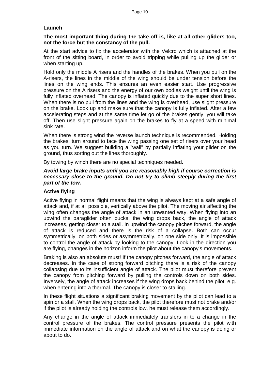#### **Launch**

#### **The most important thing during the take-off is, like at all other gliders too, not the force but the constancy of the pull.**

At the start advice to fix the accelerator with the Velcro which is attached at the front of the sitting board, in order to avoid tripping while pulling up the glider or when starting up.

Hold only the middle A risers and the handles of the brakes. When you pull on the A-risers, the lines in the middle of the wing should be under tension before the lines on the wing ends. This ensures an even easier start. Use progressive pressure on the A risers and the energy of our own bodies weight until the wing is fully inflated overhead. The canopy is inflated quickly due to the super short lines. When there is no pull from the lines and the wing is overhead, use slight pressure on the brake. Look up and make sure that the canopy is fully inflated. After a few accelerating steps and at the same time let go of the brakes gently, you will take off. Then use slight pressure again on the brakes to fly at a speed with minimal sink rate.

When there is strong wind the reverse launch technique is recommended. Holding the brakes, turn around to face the wing passing one set of risers over your head as you turn. We suggest building a "wall" by partially inflating your glider on the ground, thus sorting out the lines thoroughly.

By towing by winch there are no special techniques needed.

#### *Avoid large brake inputs until you are reasonably high if course correction is necessary close to the ground. Do not try to climb steeply during the first part of the tow.*

#### <span id="page-9-0"></span>**Active flying**

<span id="page-9-1"></span>Active flying in normal flight means that the wing is always kept at a safe angle of attack and, if at all possible, vertically above the pilot. The moving air affecting the wing often changes the angle of attack in an unwanted way. When flying into an upwind the paraglider often bucks, the wing drops back, the angle of attack increases, getting closer to a stall. In upwind the canopy pitches forward, the angle of attack is reduced and there is the risk of a collapse. Both can occur symmetrically, on both sides or asymmetrically, on one side only. It is impossible to control the angle of attack by looking to the canopy. Look in the direction you are flying, changes in the horizon inform the pilot about the canopy's movements.

Braking is also an absolute must! If the canopy pitches forward, the angle of attack decreases. In the case of strong forward pitching there is a risk of the canopy collapsing due to its insufficient angle of attack. The pilot must therefore prevent the canopy from pitching forward by pulling the controls down on both sides. Inversely, the angle of attack increases if the wing drops back behind the pilot, e.g. when entering into a thermal. The canopy is closer to stalling.

In these flight situations a significant braking movement by the pilot can lead to a spin or a stall. When the wing drops back, the pilot therefore must not brake and/or if the pilot is already holding the controls low, he must release them accordingly.

Any change in the angle of attack immediately transfers in to a change in the control pressure of the brakes. The control pressure presents the pilot with immediate information on the angle of attack and on what the canopy is doing or about to do.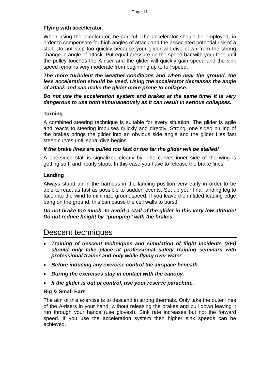#### **Flying with accellerator**

When using the accelerator, be careful. The accelerator should be employed, in order to compensate for high angles of attack and the associated potential risk of a stall. Do not step too quickly because your glider will dive down from the strong change in angle of attack. Put equal pressure on the speed bar with your feet until the pulley touches the A-riser and the glider will quickly gain speed and the sink speed remains very moderate from beginning up to full speed.

*The more turbulent the weather conditions and when near the ground, the less acceleration should be used. Using the accelerator decreases the angle of attack and can make the glider more prone to collapse.* 

#### *Do not use the acceleration system and brakes at the same time! It is very dangerous to use both simultaneously as it can result in serious collapses.*

#### **Turning**

A combined steering technique is suitable for every situation. The glider is agile and reacts to steering impulses quickly and directly. Strong, one sided pulling of the brakes brings the glider into an obvious side angle and the glider flies fast steep curves until spiral dive begins.

#### *If the brake lines are pulled too fast or too far the glider will be stalled!*

A one-sided stall is signalized clearly by: The curves inner side of the wing is getting soft, and nearly stops. In this case you have to release the brake lines!

#### <span id="page-10-0"></span>**Landing**

Always stand up in the harness in the landing position very early in order to be able to react as fast as possible to sudden events. Set up your final landing leg to face into the wind to minimize groundspeed. If you leave the inflated leading edge bang on the ground, this can cause the cell walls to burst!

*Do not brake too much, to avoid a stall of the glider in this very low altitude! Do not reduce height by "pumping" with the brakes.* 

## <span id="page-10-1"></span>Descent techniques

- *Training of descent techniques and simulation of flight incidents (SFI) should only take place at professional safety training seminars with professional trainer and only while flying over water.*
- *Before inducing any exercise control the airspace beneath.*
- *During the exercises stay in contact with the canopy.*
- <span id="page-10-2"></span>• *If the glider is out of control, use your reserve parachute.*

#### **Big & Small Ears**

The aim of this exercise is to descend in strong thermals. Only take the outer lines of the A-risers in your hand, without releasing the brakes and pull down leaving it run through your hands (use gloves!). Sink rate increases but not the forward speed. If you use the acceleration system then higher sink speeds can be achieved.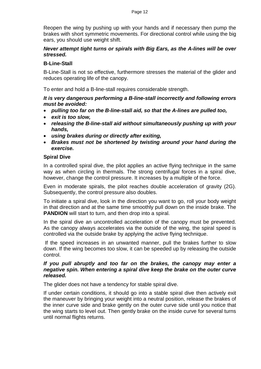Reopen the wing by pushing up with your hands and if necessary then pump the brakes with short symmetric movements. For directional control while using the big ears, you should use weight shift.

#### *Never attempt tight turns or spirals with Big Ears, as the A-lines will be over stressed.*

#### <span id="page-11-0"></span>**B-Line-Stall**

<span id="page-11-1"></span>B-Line-Stall is not so effective, furthermore stresses the material of the glider and reduces operating life of the canopy.

To enter and hold a B-line-stall requires considerable strength.

#### *It is very dangerous performing a B-line-stall incorrectly and following errors must be avoided:*

- *pulling too far on the B-line-stall aid, so that the A-lines are pulled too,*
- *exit is too slow,*
- *releasing the B-line-stall aid without simultaneously pushing up with your hands,*
- *using brakes during or directly after exiting,*
- *Brakes must not be shortened by twisting around your hand during the exercise.*

#### **Spiral Dive**

<span id="page-11-2"></span>In a controlled spiral dive, the pilot applies an active flying technique in the same way as when circling in thermals. The strong centrifugal forces in a spiral dive, however, change the control pressure. It increases by a multiple of the force.

Even in moderate spirals, the pilot reaches double acceleration of gravity (2G). Subsequently, the control pressure also doubles.

To initiate a spiral dive, look in the direction you want to go, roll your body weight in that direction and at the same time smoothly pull down on the inside brake. The **PANDION** will start to turn, and then drop into a spiral.

In the spiral dive an uncontrolled acceleration of the canopy must be prevented. As the canopy always accelerates via the outside of the wing, the spiral speed is controlled via the outside brake by applying the active flying technique.

If the speed increases in an unwanted manner, pull the brakes further to slow down. If the wing becomes too slow, it can be speeded up by releasing the outside control.

#### *If you pull abruptly and too far on the brakes, the canopy may enter a negative spin. When entering a spiral dive keep the brake on the outer curve released.*

The glider does not have a tendency for stable spiral dive.

If under certain conditions, it should go into a stable spiral dive then actively exit the maneuver by bringing your weight into a neutral position, release the brakes of the inner curve side and brake gently on the outer curve side until you notice that the wing starts to level out. Then gently brake on the inside curve for several turns until normal flights returns.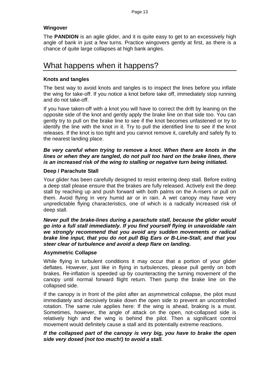#### **Wingover**

The **PANDION** is an agile glider, and it is quite easy to get to an excessively high angle of bank in just a few turns. Practice wingovers gently at first, as there is a chance of quite large collapses at high bank angles.

## <span id="page-12-0"></span>What happens when it happens?

#### <span id="page-12-1"></span>**Knots and tangles**

The best way to avoid knots and tangles is to inspect the lines before you inflate the wing for take-off. If you notice a knot before take off, immediately stop running and do not take-off.

If you have taken-off with a knot you will have to correct the drift by leaning on the opposite side of the knot and gently apply the brake line on that side too. You can gently try to pull on the brake line to see if the knot becomes unfastened or try to identify the line with the knot in it. Try to pull the identified line to see if the knot releases. If the knot is too tight and you cannot remove it, carefully and safely fly to the nearest landing place.

#### *Be very careful when trying to remove a knot. When there are knots in the lines or when they are tangled, do not pull too hard on the brake lines, there is an increased risk of the wing to stalling or negative turn being initiated.*

#### <span id="page-12-2"></span>**Deep / Parachute Stall**

Your glider has been carefully designed to resist entering deep stall. Before exiting a deep stall please ensure that the brakes are fully released. Actively exit the deep stall by reaching up and push forward with both palms on the A-risers or pull on them. Avoid flying in very humid air or in rain. A wet canopy may have very unpredictable flying characteristics, one of which is a radically increased risk of deep stall.

#### *Never pull the brake-lines during a parachute stall, because the glider would go into a full stall immediately. If you find yourself flying in unavoidable rain we strongly recommend that you avoid any sudden movements or radical brake line input, that you do not pull Big Ears or B-Line-Stall, and that you steer clear of turbulence and avoid a deep flare on landing.*

#### <span id="page-12-3"></span>**Asymmetric Collapse**

While flying in turbulent conditions it may occur that a portion of your glider deflates. However, just like in flying in turbulences, please pull gently on both brakes. Re-inflation is speeded up by counteracting the turning movement of the canopy until normal forward flight return. Then pump the brake line on the collapsed side.

If the canopy is in front of the pilot after an asymmetrical collapse, the pilot must immediately and decisively brake down the open side to prevent an uncontrolled rotation. The same rule applies here: If the wing is ahead, braking is a must. Sometimes, however, the angle of attack on the open, not-collapsed side is relatively high and the wing is behind the pilot. Then a significant control movement would definitely cause a stall and its potentially extreme reactions.

#### *If the collapsed part of the canopy is very big, you have to brake the open side very dosed (not too much!) to avoid a stall.*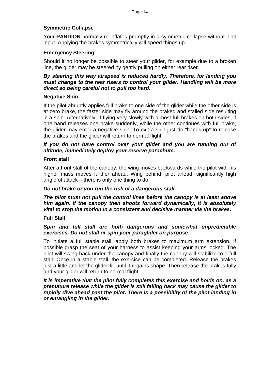#### <span id="page-13-0"></span>**Symmetric Collapse**

Your **PANDION** normally re-inflates promptly in a symmetric collapse without pilot input. Applying the brakes symmetrically will speed things up.

#### <span id="page-13-1"></span>**Emergency Steering**

Should it no longer be possible to steer your glider, for example due to a broken line, the glider may be steered by gently pulling on either rear riser.

#### *By steering this way airspeed is reduced hardly. Therefore, for landing you must change to the rear risers to control your glider. Handling will be more direct so being careful not to pull too hard.*

#### <span id="page-13-2"></span>**Negative Spin**

If the pilot abruptly applies full brake to one side of the glider while the other side is at zero brake, the faster side may fly around the braked and stalled side resulting in a spin. Alternatively, if flying very slowly with almost full brakes on both sides, if one hand releases one brake suddenly, while the other continues with full brake, the glider may enter a negative spin. To exit a spin just do "hands up" to release the brakes and the glider will return to normal flight.

#### *If you do not have control over your glider and you are running out of altitude, immediately deploy your reserve parachute.*

#### **Front stall**

<span id="page-13-3"></span>After a front stall of the canopy, the wing moves backwards while the pilot with his higher mass moves further ahead. Wing behind, pilot ahead, significantly high angle of attack – there is only one thing to do:

#### *Do not brake or you run the risk of a dangerous stall.*

*The pilot must not pull the control lines before the canopy is at least above him again. If the canopy then shoots forward dynamically, it is absolutely vital to stop the motion in a consistent and decisive manner via the brakes.* 

#### **Full Stall**

#### *Spin and full stall are both dangerous and somewhat unpredictable exercises. Do not stall or spin your paraglider on purpose*.

To initiate a full stable stall, apply both brakes to maximum arm extension. If possible grasp the seat of your harness to assist keeping your arms locked. The pilot will swing back under the canopy and finally the canopy will stabilize to a full stall. Once in a stable stall, the exercise can be completed. Release the brakes just a little and let the glider fill until it regains shape. Then release the brakes fully and your glider will return to normal flight.

#### *It is imperative that the pilot fully completes this exercise and holds on, as a premature release while the glider is still falling back may cause the glider to rapidly dive ahead past the pilot. There is a possibility of the pilot landing in or entangling in the glider.*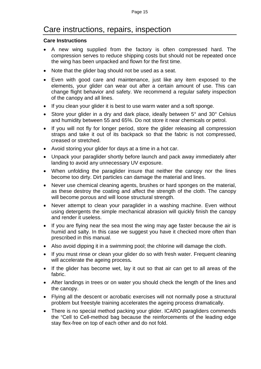## Care instructions, repairs, inspection

#### <span id="page-14-0"></span>**Care Instructions**

- <span id="page-14-1"></span>• A new wing supplied from the factory is often compressed hard. The compression serves to reduce shipping costs but should not be repeated once the wing has been unpacked and flown for the first time.
- Note that the glider bag should not be used as a seat.
- Even with good care and maintenance, just like any item exposed to the elements, your glider can wear out after a certain amount of use. This can change flight behavior and safety. We recommend a regular safety inspection of the canopy and all lines.
- If you clean your glider it is best to use warm water and a soft sponge.
- Store your glider in a dry and dark place, ideally between 5° and 30° Celsius and humidity between 55 and 65%. Do not store it near chemicals or petrol.
- If you will not fly for longer period, store the glider releasing all compression straps and take it out of its backpack so that the fabric is not compressed, creased or stretched.
- Avoid storing your glider for days at a time in a hot car.
- Unpack your paraglider shortly before launch and pack away immediately after landing to avoid any unnecessary UV exposure.
- When unfolding the paraglider insure that neither the canopy nor the lines become too dirty. Dirt particles can damage the material and lines.
- Never use chemical cleaning agents, brushes or hard sponges on the material, as these destroy the coating and affect the strength of the cloth. The canopy will become porous and will loose structural strength.
- Never attempt to clean your paraglider in a washing machine. Even without using detergents the simple mechanical abrasion will quickly finish the canopy and render it useless.
- If you are flying near the sea most the wing may age faster because the air is humid and salty. In this case we suggest you have it checked more often than prescribed in this manual.
- Also avoid dipping it in a swimming pool; the chlorine will damage the cloth.
- If you must rinse or clean your glider do so with fresh water. Frequent cleaning will accelerate the ageing process*.*
- If the glider has become wet, lay it out so that air can get to all areas of the fabric.
- After landings in trees or on water you should check the length of the lines and the canopy.
- Flying all the descent or acrobatic exercises will not normally pose a structural problem but freestyle training accelerates the ageing process dramatically.
- There is no special method packing your glider. ICARO paragliders commends the "Cell to Cell-method bag because the reinforcements of the leading edge stay flex-free on top of each other and do not fold.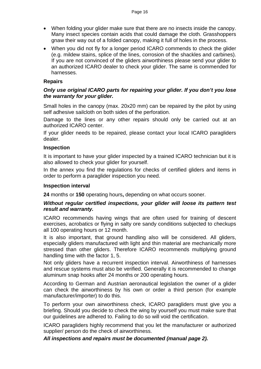- When folding your glider make sure that there are no insects inside the canopy. Many insect species contain acids that could damage the cloth. Grasshoppers gnaw their way out of a folded canopy, making it full of holes in the process.
- When you did not fly for a longer period ICARO commends to check the glider (e.g. mildew stains, splice of the lines, corrosion of the shackles and carbines). If you are not convinced of the gliders airworthiness please send your glider to an authorized ICARO dealer to check your glider. The same is commended for harnesses.

#### **Repairs**

#### *Only use original ICARO parts for repairing your glider. If you don't you lose the warranty for your glider.*

Small holes in the canopy (max. 20x20 mm) can be repaired by the pilot by using self adhesive sailcloth on both sides of the perforation.

Damage to the lines or any other repairs should only be carried out at an authorized ICARO center.

If your glider needs to be repaired, please contact your local ICARO paragliders dealer.

#### **Inspection**

It is important to have your glider inspected by a trained ICARO technician but it is also allowed to check your glider for yourself.

In the annex you find the regulations for checks of certified gliders and items in order to perform a paraglider inspection you need.

#### **Inspection interval**

**24** months or **150** operating hours**,** depending on what occurs sooner.

#### *Without regular certified inspections, your glider will loose its pattern test result and warranty.*

ICARO recommends having wings that are often used for training of descent exercises, acrobatics or flying in salty ore sandy conditions subjected to checkups all 100 operating hours or 12 month.

It is also important, that ground handling also will be considered. All gliders, especially gliders manufactured with light and thin material are mechanically more stressed than other gliders. Therefore ICARO recommends multiplying ground handling time with the factor 1, 5.

Not only gliders have a recurrent inspection interval. Airworthiness of harnesses and rescue systems must also be verified. Generally it is recommended to change aluminum snap hooks after 24 months or 200 operating hours.

According to German and Austrian aeronautical legislation the owner of a glider can check the airworthiness by his own or order a third person (for example manufacturer/importer) to do this.

To perform your own airworthiness check, ICARO paragliders must give you a briefing. Should you decide to check the wing by yourself you must make sure that our guidelines are adhered to. Failing to do so will void the certification.

ICARO paragliders highly recommend that you let the manufacturer or authorized supplier/ person do the check of airworthiness.

<span id="page-15-0"></span>*All inspections and repairs must be documented (manual page 2).*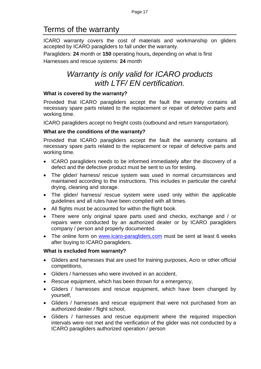## Terms of the warranty

<span id="page-16-0"></span>ICARO warranty covers the cost of materials and workmanship on gliders accepted by ICARO paragliders to fall under the warranty.

Paragliders: **24** month or **150** operating hours**,** depending on what is first Harnesses and rescue systems: **24** month

## *Warranty is only valid for ICARO products with LTF/ EN certification.*

#### **What is covered by the warranty?**

Provided that ICARO paragliders accept the fault the warranty contains all necessary spare parts related to the replacement or repair of defective parts and working time.

ICARO paragliders accept no freight costs (outbound and return transportation).

#### **What are the conditions of the warranty?**

Provided that ICARO paragliders accept the fault the warranty contains all necessary spare parts related to the replacement or repair of defective parts and working time.

- ICARO paragliders needs to be informed immediately after the discovery of a defect and the defective product must be sent to us for testing.
- The glider/ harness/ rescue system was used in normal circumstances and maintained according to the instructions. This includes in particular the careful drying, cleaning and storage.
- The glider/ harness/ rescue system were used only within the applicable guidelines and all rules have been complied with all times.
- All flights must be accounted for within the flight book.
- There were only original spare parts used and checks, exchange and / or repairs were conducted by an authorized dealer or by ICARO paragliders company / person and properly documented.
- The online form on [www.icaro-paragliders.com](http://www.icaro-paragliders.de/) must be sent at least 6 weeks after buying to ICARO paragliders.

#### **What is excluded from warranty?**

- Gliders and harnesses that are used for training purposes, Acro or other official competitions,
- Gliders / harnesses who were involved in an accident,
- Rescue equipment, which has been thrown for a emergency,
- Gliders / harnesses and rescue equipment, which have been changed by yourself,
- Gliders / harnesses and rescue equipment that were not purchased from an authorized dealer / flight school,
- Gliders / harnesses and rescue equipment where the required inspection intervals were not met and the verification of the glider was not conducted by a ICARO paragliders authorized operation / person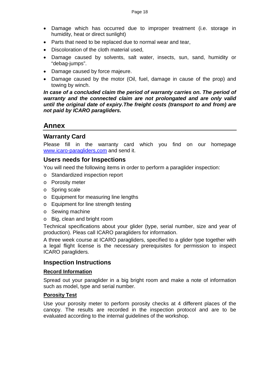- Damage which has occurred due to improper treatment (i.e. storage in humidity, heat or direct sunlight)
- Parts that need to be replaced due to normal wear and tear,
- Discoloration of the cloth material used,
- Damage caused by solvents, salt water, insects, sun, sand, humidity or "debag-jumps".
- Damage caused by force majeure.
- Damage caused by the motor (Oil, fuel, damage in cause of the prop) and towing by winch.

*In case of a concluded claim the period of warranty carries on. The period of warranty and the connected claim are not prolongated and are only valid until the original date of expiry.The freight costs (transport to and from) are not paid by ICARO paragliders.*

## **Annex**

#### **Warranty Card**

<span id="page-17-0"></span>Please fill in the warranty card which you find on our homepage [www.icaro-paragliders,com](http://www.icaro-paragliders,com/) and send it.

#### **Users needs for Inspections**

You will need the following items in order to perform a paraglider inspection:

- o Standardized inspection report
- o Porosity meter
- o Spring scale
- o Equipment for measuring line lengths
- o Equipment for line strength testing
- o Sewing machine
- o Big, clean and bright room

Technical specifications about your glider (type, serial number, size and year of production). Pleas call ICARO paragliders for information.

A three week course at ICARO paragliders, specified to a glider type together with a legal flight license is the necessary prerequisites for permission to inspect ICARO paragliders.

#### <span id="page-17-1"></span>**Inspection Instructions**

#### **Record Information**

Spread out your paraglider in a big bright room and make a note of information such as model, type and serial number.

#### **Porosity Test**

Use your porosity meter to perform porosity checks at 4 different places of the canopy. The results are recorded in the inspection protocol and are to be evaluated according to the internal guidelines of the workshop.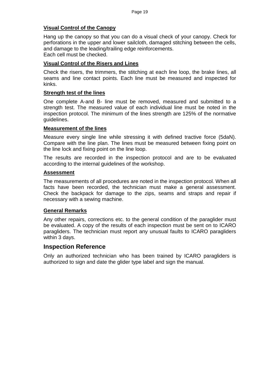#### **Visual Control of the Canopy**

Hang up the canopy so that you can do a visual check of your canopy. Check for perforations in the upper and lower sailcloth, damaged stitching between the cells, and damage to the leading/trailing edge reinforcements. Each cell must be checked.

#### **Visual Control of the Risers and Lines**

Check the risers, the trimmers, the stitching at each line loop, the brake lines, all seams and line contact points. Each line must be measured and inspected for kinks.

#### **Strength test of the lines**

One complete A-and B- line must be removed, measured and submitted to a strength test. The measured value of each individual line must be noted in the inspection protocol. The minimum of the lines strength are 125% of the normative guidelines.

#### **Measurement of the lines**

Measure every single line while stressing it with defined tractive force (5daN). Compare with the line plan. The lines must be measured between fixing point on the line lock and fixing point on the line loop.

The results are recorded in the inspection protocol and are to be evaluated according to the internal guidelines of the workshop.

#### **Assessment**

The measurements of all procedures are noted in the inspection protocol. When all facts have been recorded, the technician must make a general assessment. Check the backpack for damage to the zips, seams and straps and repair if necessary with a sewing machine.

#### **General Remarks**

Any other repairs, corrections etc. to the general condition of the paraglider must be evaluated. A copy of the results of each inspection must be sent on to ICARO paragliders. The technician must report any unusual faults to ICARO paragliders within 3 days.

#### **Inspection Reference**

Only an authorized technician who has been trained by ICARO paragliders is authorized to sign and date the glider type label and sign the manual.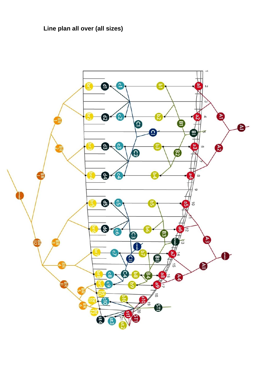**Line plan all over (all sizes)**

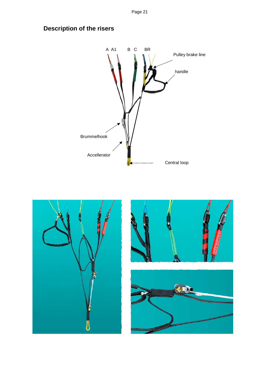Page 21



## <span id="page-20-0"></span>**Description of the risers**